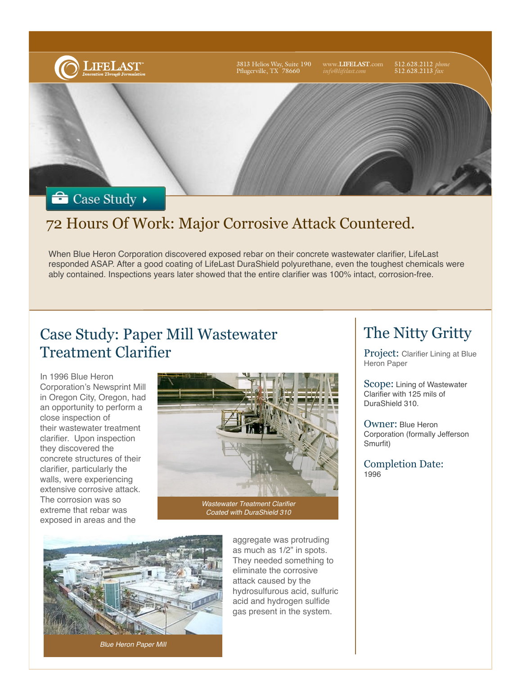

### 72 Hours Of Work: Major Corrosive Attack Countered.

When Blue Heron Corporation discovered exposed rebar on their concrete wastewater clarifier, LifeLast responded ASAP. After a good coating of LifeLast DuraShield polyurethane, even the toughest chemicals were ably contained. Inspections years later showed that the entire clarifier was 100% intact, corrosion-free.

#### Case Study: Paper Mill Wastewater Treatment Clarifier

In 1996 Blue Heron Corporation's Newsprint Mill in Oregon City, Oregon, had an opportunity to perform a close inspection of their wastewater treatment clarifier. Upon inspection they discovered the concrete structures of their clarifier, particularly the walls, were experiencing extensive corrosive attack. The corrosion was so extreme that rebar was exposed in areas and the



*Wastewater Treatment Clarifier Coated with DuraShield 310*



*Blue Heron Paper Mill*

aggregate was protruding as much as 1/2" in spots. They needed something to eliminate the corrosive attack caused by the hydrosulfurous acid, sulfuric acid and hydrogen sulfide gas present in the system.

# The Nitty Gritty

Project: Clarifier Lining at Blue Heron Paper

Scope: Lining of Wastewater Clarifier with 125 mils of DuraShield 310.

Owner: Blue Heron Corporation (formally Jefferson Smurfit)

Completion Date: 1996